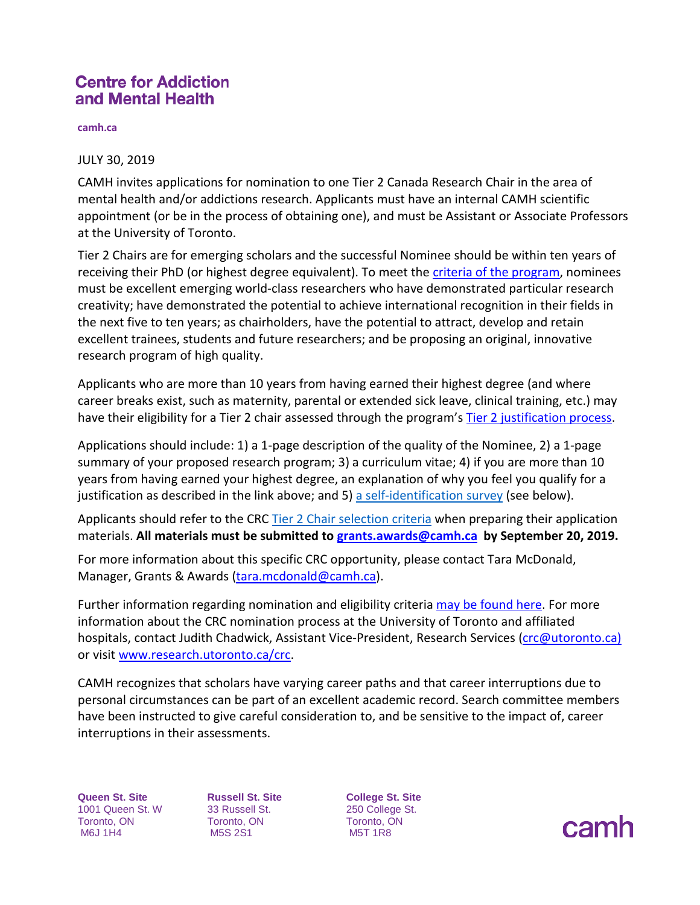## **Centre for Addiction** and Mental Health

**camh.ca**

## JULY 30, 2019

CAMH invites applications for nomination to one Tier 2 Canada Research Chair in the area of mental health and/or addictions research. Applicants must have an internal CAMH scientific appointment (or be in the process of obtaining one), and must be Assistant or Associate Professors at the University of Toronto.

Tier 2 Chairs are for emerging scholars and the successful Nominee should be within ten years of receiving their PhD (or highest degree equivalent). To meet the [criteria of the program,](http://www.chairs-chaires.gc.ca/program-programme/nomination-mise_en_candidature-eng.aspx#s7) nominees must be excellent emerging world-class researchers who have demonstrated particular research creativity; have demonstrated the potential to achieve international recognition in their fields in the next five to ten years; as chairholders, have the potential to attract, develop and retain excellent trainees, students and future researchers; and be proposing an original, innovative research program of high quality.

Applicants who are more than 10 years from having earned their highest degree (and where career breaks exist, such as maternity, parental or extended sick leave, clinical training, etc.) may have their eligibility for a Tier 2 chair assessed through the program's [Tier 2 justification process.](http://www.chairs-chaires.gc.ca/program-programme/nomination-mise_en_candidature-eng.aspx#s3)

Applications should include: 1) a 1-page description of the quality of the Nominee, 2) a 1-page summary of your proposed research program; 3) a curriculum vitae; 4) if you are more than 10 years from having earned your highest degree, an explanation of why you feel you qualify for a justification as described in the link above; and 5) [a self-identification survey](http://ishare.camh.ca/sites/RSO/services/grants/Documents/Grants%20-%20CRC_Self%20Identification%20Form_Fall%202019.docx) (see below).

Applicants should refer to the CRC [Tier 2 Chair selection criteria](http://www.chairs-chaires.gc.ca/program-programme/nomination-mise_en_candidature-eng.aspx#s7) when preparing their application materials. **All materials must be submitted to [grants.awards@camh.ca](mailto:grants.awards@camh.ca) by September 20, 2019.**

For more information about this specific CRC opportunity, please contact Tara McDonald, Manager, Grants & Awards [\(tara.mcdonald@camh.ca\)](mailto:tara.mcdonald@camh.ca).

Further information regarding nomination and eligibility criteri[a may be found here.](http://www.chairs-chaires.gc.ca/program-programme/nomination-mise_en_candidature-eng.aspx) For more information about the CRC nomination process at the University of Toronto and affiliated hospitals, contact Judith Chadwick, Assistant Vice-President, Research Services [\(crc@utoronto.ca\)](mailto:crc@utoronto.ca) or visit [www.research.utoronto.ca/crc.](http://www.research.utoronto.ca/crc)

CAMH recognizes that scholars have varying career paths and that career interruptions due to personal circumstances can be part of an excellent academic record. Search committee members have been instructed to give careful consideration to, and be sensitive to the impact of, career interruptions in their assessments.

**Queen St. Site** 1001 Queen St. W Toronto, ON M6J 1H4

**Russell St. Site** 33 Russell St. Toronto, ON M5S 2S1

**College St. Site** 250 College St. Toronto, ON M5T 1R8